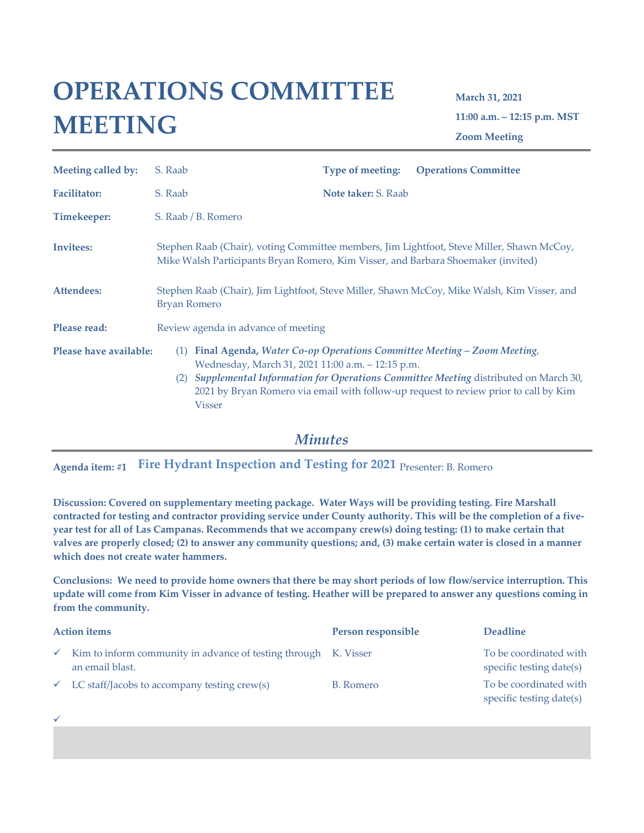## **OPERATIONS COMMITTEE MEETING**

**March 31, 2021 11:00 a.m. – 12:15 p.m. MST Zoom Meeting**

| Meeting called by:     | S. Raab    |                                                                                                                    | <b>Type of meeting:</b> | <b>Operations Committee</b>                                                                                                                                                                                                                          |
|------------------------|------------|--------------------------------------------------------------------------------------------------------------------|-------------------------|------------------------------------------------------------------------------------------------------------------------------------------------------------------------------------------------------------------------------------------------------|
| <b>Facilitator:</b>    | S. Raab    |                                                                                                                    | Note taker: S. Raab     |                                                                                                                                                                                                                                                      |
| Timekeeper:            |            | S. Raab / B. Romero                                                                                                |                         |                                                                                                                                                                                                                                                      |
| Invitees:              |            | Mike Walsh Participants Bryan Romero, Kim Visser, and Barbara Shoemaker (invited)                                  |                         | Stephen Raab (Chair), voting Committee members, Jim Lightfoot, Steve Miller, Shawn McCoy,                                                                                                                                                            |
| Attendees:             |            | Stephen Raab (Chair), Jim Lightfoot, Steve Miller, Shawn McCoy, Mike Walsh, Kim Visser, and<br><b>Bryan Romero</b> |                         |                                                                                                                                                                                                                                                      |
| Please read:           |            | Review agenda in advance of meeting                                                                                |                         |                                                                                                                                                                                                                                                      |
| Please have available: | (1)<br>(2) | Wednesday, March 31, 2021 11:00 a.m. - 12:15 p.m.<br><b>Visser</b>                                                 |                         | Final Agenda, Water Co-op Operations Committee Meeting – Zoom Meeting,<br>Supplemental Information for Operations Committee Meeting distributed on March 30,<br>2021 by Bryan Romero via email with follow-up request to review prior to call by Kim |

*Minutes*

**Agenda item: #1 Fire Hydrant Inspection and Testing for 2021** Presenter: B. Romero

✓

**Discussion: Covered on supplementary meeting package. Water Ways will be providing testing. Fire Marshall contracted for testing and contractor providing service under County authority. This will be the completion of a fiveyear test for all of Las Campanas. Recommends that we accompany crew(s) doing testing: (1) to make certain that valves are properly closed; (2) to answer any community questions; and, (3) make certain water is closed in a manner which does not create water hammers.**

**Conclusions: We need to provide home owners that there be may short periods of low flow/service interruption. This update will come from Kim Visser in advance of testing. Heather will be prepared to answer any questions coming in from the community.** 

| <b>Action items</b> |                                                                                    | Person responsible | <b>Deadline</b>                                    |
|---------------------|------------------------------------------------------------------------------------|--------------------|----------------------------------------------------|
|                     | Kim to inform community in advance of testing through K. Visser<br>an email blast. |                    | To be coordinated with<br>specific testing date(s) |
|                     | $\checkmark$ LC staff/Jacobs to accompany testing crew(s)                          | B. Romero          | To be coordinated with<br>specific testing date(s) |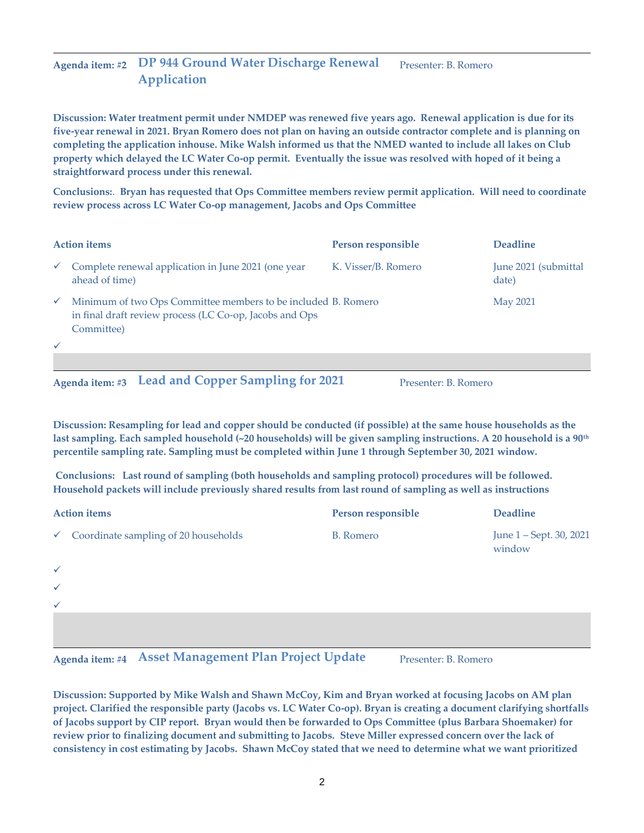## **Agenda item: #2 DP 944 Ground Water Discharge Renewal Application** Presenter: B. Romero

**Discussion: Water treatment permit under NMDEP was renewed five years ago. Renewal application is due for its five-year renewal in 2021. Bryan Romero does not plan on having an outside contractor complete and is planning on completing the application inhouse. Mike Walsh informed us that the NMED wanted to include all lakes on Club property which delayed the LC Water Co-op permit. Eventually the issue was resolved with hoped of it being a straightforward process under this renewal.**

**Conclusions:**. **Bryan has requested that Ops Committee members review permit application. Will need to coordinate review process across LC Water Co-op management, Jacobs and Ops Committee**

| <b>Action items</b> |                                                                                                                                        | Person responsible  | <b>Deadline</b>               |
|---------------------|----------------------------------------------------------------------------------------------------------------------------------------|---------------------|-------------------------------|
| $\checkmark$        | Complete renewal application in June 2021 (one year<br>ahead of time)                                                                  | K. Visser/B. Romero | June 2021 (submittal<br>date) |
| $\checkmark$        | Minimum of two Ops Committee members to be included B. Romero<br>in final draft review process (LC Co-op, Jacobs and Ops<br>Committee) |                     | May 2021                      |
|                     |                                                                                                                                        |                     |                               |

Agenda item: #3 Lead and Copper Sampling for 2021 Presenter: B. Romero

**Discussion: Resampling for lead and copper should be conducted (if possible) at the same house households as the last sampling. Each sampled household (~20 households) will be given sampling instructions. A 20 household is a 90th percentile sampling rate. Sampling must be completed within June 1 through September 30, 2021 window.**

**Conclusions: Last round of sampling (both households and sampling protocol) procedures will be followed. Household packets will include previously shared results from last round of sampling as well as instructions**

| <b>Action items</b> |                                                   | Person responsible | <b>Deadline</b>                   |
|---------------------|---------------------------------------------------|--------------------|-----------------------------------|
|                     | $\checkmark$ Coordinate sampling of 20 households | <b>B.</b> Romero   | June 1 - Sept. 30, 2021<br>window |
| $\checkmark$        |                                                   |                    |                                   |
| $\checkmark$        |                                                   |                    |                                   |
| $\checkmark$        |                                                   |                    |                                   |
|                     |                                                   |                    |                                   |

**Agenda item: #4 Asset Management Plan Project Update** Presenter: B. Romero

**Discussion: Supported by Mike Walsh and Shawn McCoy, Kim and Bryan worked at focusing Jacobs on AM plan project. Clarified the responsible party (Jacobs vs. LC Water Co-op). Bryan is creating a document clarifying shortfalls of Jacobs support by CIP report. Bryan would then be forwarded to Ops Committee (plus Barbara Shoemaker) for review prior to finalizing document and submitting to Jacobs. Steve Miller expressed concern over the lack of consistency in cost estimating by Jacobs. Shawn McCoy stated that we need to determine what we want prioritized**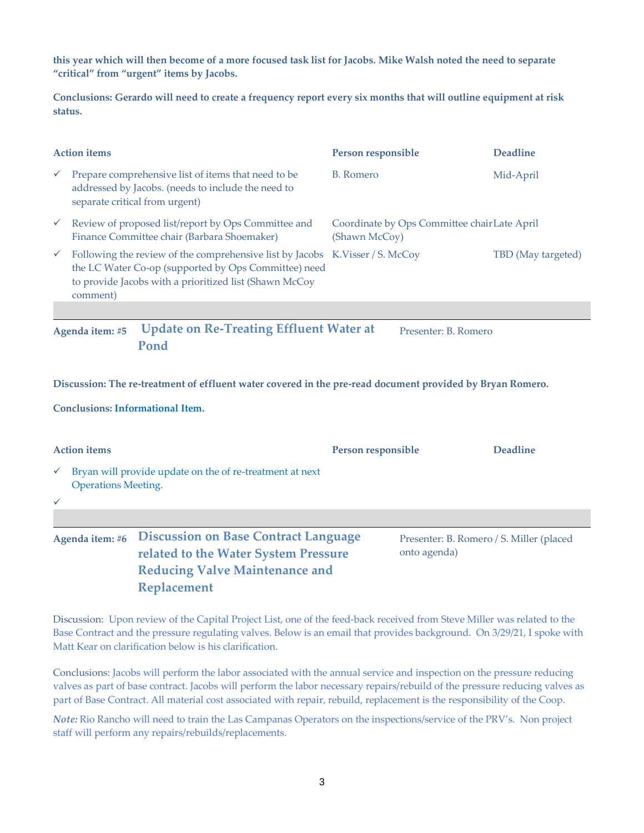**this year which will then become of a more focused task list for Jacobs. Mike Walsh noted the need to separate "critical" from "urgent" items by Jacobs.** 

**Conclusions: Gerardo will need to create a frequency report every six months that will outline equipment at risk status.** 

| <b>Action items</b> |                                                                                                                                                                                                            | Person responsible                                            | <b>Deadline</b>    |
|---------------------|------------------------------------------------------------------------------------------------------------------------------------------------------------------------------------------------------------|---------------------------------------------------------------|--------------------|
| $\checkmark$        | Prepare comprehensive list of items that need to be<br>addressed by Jacobs. (needs to include the need to<br>separate critical from urgent)                                                                | B. Romero                                                     | Mid-April          |
| $\checkmark$        | Review of proposed list/report by Ops Committee and<br>Finance Committee chair (Barbara Shoemaker)                                                                                                         | Coordinate by Ops Committee chair Late April<br>(Shawn McCoy) |                    |
| $\checkmark$        | Following the review of the comprehensive list by Jacobs K.Visser / S. McCoy<br>the LC Water Co-op (supported by Ops Committee) need<br>to provide Jacobs with a prioritized list (Shawn McCoy<br>comment) |                                                               | TBD (May targeted) |
|                     |                                                                                                                                                                                                            |                                                               |                    |
|                     | <b>Update on Re-Treating Effluent Water at</b><br>Agenda item: #5<br>Pond                                                                                                                                  | Presenter: B. Romero                                          |                    |

**Discussion: The re-treatment of effluent water covered in the pre-read document provided by Bryan Romero.** 

**Conclusions: Informational Item.**

| <b>Action items</b>                        |                                                                                                                                                    | Person responsible | <b>Deadline</b>                          |
|--------------------------------------------|----------------------------------------------------------------------------------------------------------------------------------------------------|--------------------|------------------------------------------|
| $\checkmark$<br><b>Operations Meeting.</b> | Bryan will provide update on the of re-treatment at next                                                                                           |                    |                                          |
| $\checkmark$                               |                                                                                                                                                    |                    |                                          |
| Agenda item: #6                            | <b>Discussion on Base Contract Language</b><br>related to the Water System Pressure<br><b>Reducing Valve Maintenance and</b><br><b>Replacement</b> | onto agenda)       | Presenter: B. Romero / S. Miller (placed |

Discussion: Upon review of the Capital Project List, one of the feed-back received from Steve Miller was related to the Base Contract and the pressure regulating valves. Below is an email that provides background. On 3/29/21, I spoke with Matt Kear on clarification below is his clarification.

Conclusions: Jacobs will perform the labor associated with the annual service and inspection on the pressure reducing valves as part of base contract. Jacobs will perform the labor necessary repairs/rebuild of the pressure reducing valves as part of Base Contract. All material cost associated with repair, rebuild, replacement is the responsibility of the Coop.

*Note:* Rio Rancho will need to train the Las Campanas Operators on the inspections/service of the PRV's. Non project staff will perform any repairs/rebuilds/replacements.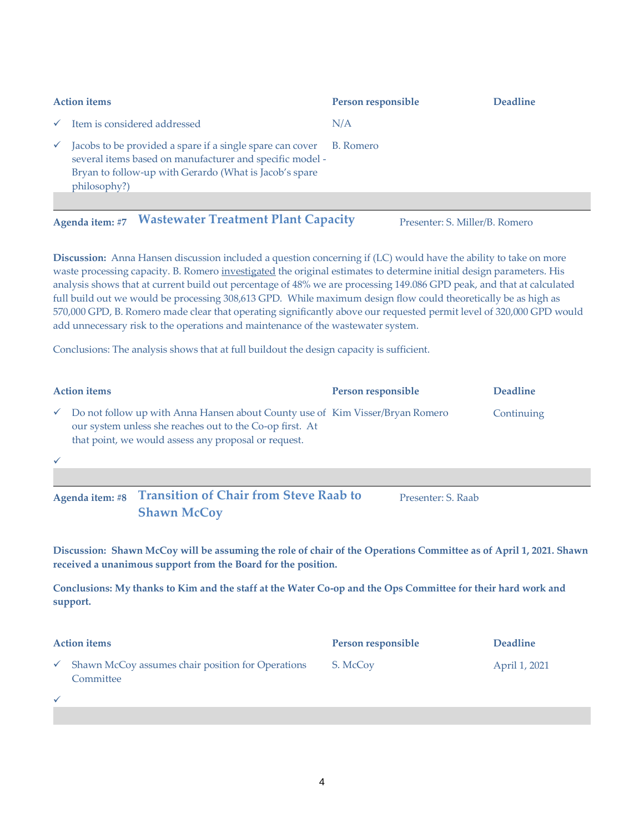| <b>Action items</b> |                                                                                                                                                                                                 | Person responsible | <b>Deadline</b> |
|---------------------|-------------------------------------------------------------------------------------------------------------------------------------------------------------------------------------------------|--------------------|-----------------|
| $\checkmark$        | Item is considered addressed                                                                                                                                                                    | N/A                |                 |
| $\checkmark$        | Jacobs to be provided a spare if a single spare can cover<br>several items based on manufacturer and specific model -<br>Bryan to follow-up with Gerardo (What is Jacob's spare<br>philosophy?) | B. Romero          |                 |
|                     |                                                                                                                                                                                                 |                    |                 |

Agenda item: #7 **Wastewater Treatment Plant Capacity** Presenter: S. Miller/B. Romero

**Discussion:** Anna Hansen discussion included a question concerning if (LC) would have the ability to take on more waste processing capacity. B. Romero investigated the original estimates to determine initial design parameters. His analysis shows that at current build out percentage of 48% we are processing 149.086 GPD peak, and that at calculated full build out we would be processing 308,613 GPD. While maximum design flow could theoretically be as high as 570,000 GPD, B. Romero made clear that operating significantly above our requested permit level of 320,000 GPD would add unnecessary risk to the operations and maintenance of the wastewater system.

Conclusions: The analysis shows that at full buildout the design capacity is sufficient.

| <b>Action items</b>                                                                                                                                                                               | Person responsible | <b>Deadline</b> |
|---------------------------------------------------------------------------------------------------------------------------------------------------------------------------------------------------|--------------------|-----------------|
| Do not follow up with Anna Hansen about County use of Kim Visser/Bryan Romero<br>our system unless she reaches out to the Co-op first. At<br>that point, we would assess any proposal or request. |                    | Continuing      |
|                                                                                                                                                                                                   |                    |                 |
|                                                                                                                                                                                                   |                    |                 |

**Agenda item: #8 Transition of Chair from Steve Raab to Shawn McCoy** Presenter: S. Raab

**Discussion: Shawn McCoy will be assuming the role of chair of the Operations Committee as of April 1, 2021. Shawn received a unanimous support from the Board for the position.**

**Conclusions: My thanks to Kim and the staff at the Water Co-op and the Ops Committee for their hard work and support.**

| <b>Action items</b> |                                                                | Person responsible | <b>Deadline</b> |
|---------------------|----------------------------------------------------------------|--------------------|-----------------|
|                     | Shawn McCoy assumes chair position for Operations<br>Committee | S. McCov           | April 1, 2021   |
|                     |                                                                |                    |                 |